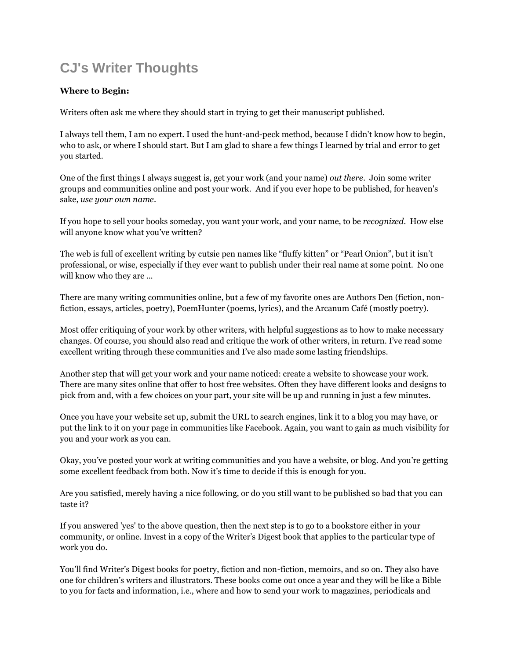## **[CJ's Writer Thoughts](http://cjswriterthoughts.blogspot.com/)**

## **Where to Begin:**

Writers often ask me where they should start in trying to get their manuscript published.

I always tell them, I am no expert. I used the hunt-and-peck method, because I didn't know how to begin, who to ask, or where I should start. But I am glad to share a few things I learned by trial and error to get you started.

One of the first things I always suggest is, get your work (and your name) *out there*. Join some writer groups and communities online and post your work. And if you ever hope to be published, for heaven's sake, *use your own name*.

If you hope to sell your books someday, you want your work, and your name, to be *recognized*. How else will anyone know what you've written?

The web is full of excellent writing by cutsie pen names like "fluffy kitten" or "Pearl Onion", but it isn't professional, or wise, especially if they ever want to publish under their real name at some point. No one will know who they are ...

There are many writing communities online, but a few of my favorite ones are Authors Den (fiction, nonfiction, essays, articles, poetry), PoemHunter (poems, lyrics), and the Arcanum Café (mostly poetry).

Most offer critiquing of your work by other writers, with helpful suggestions as to how to make necessary changes. Of course, you should also read and critique the work of other writers, in return. I've read some excellent writing through these communities and I've also made some lasting friendships.

Another step that will get your work and your name noticed: create a website to showcase your work. There are many sites online that offer to host free websites. Often they have different looks and designs to pick from and, with a few choices on your part, your site will be up and running in just a few minutes.

Once you have your website set up, submit the URL to search engines, link it to a blog you may have, or put the link to it on your page in communities like Facebook. Again, you want to gain as much visibility for you and your work as you can.

Okay, you've posted your work at writing communities and you have a website, or blog. And you're getting some excellent feedback from both. Now it's time to decide if this is enough for you.

Are you satisfied, merely having a nice following, or do you still want to be published so bad that you can taste it?

If you answered 'yes' to the above question, then the next step is to go to a bookstore either in your community, or online. Invest in a copy of the Writer's Digest book that applies to the particular type of work you do.

You'll find Writer's Digest books for poetry, fiction and non-fiction, memoirs, and so on. They also have one for children's writers and illustrators. These books come out once a year and they will be like a Bible to you for facts and information, i.e., where and how to send your work to magazines, periodicals and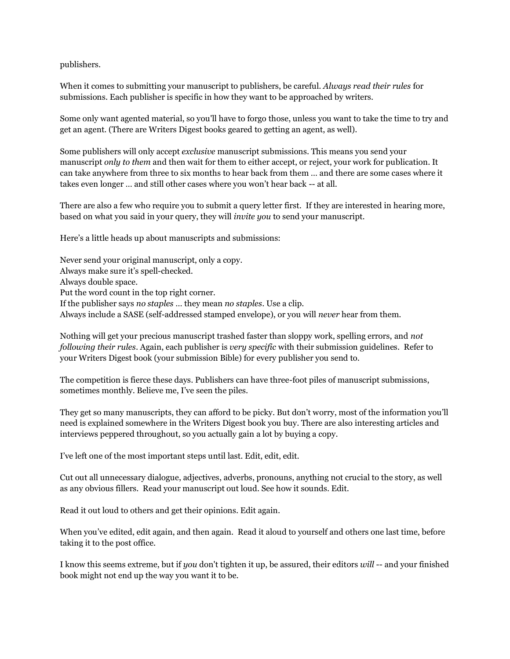publishers.

When it comes to submitting your manuscript to publishers, be careful. *Always read their rules* for submissions. Each publisher is specific in how they want to be approached by writers.

Some only want agented material, so you'll have to forgo those, unless you want to take the time to try and get an agent. (There are Writers Digest books geared to getting an agent, as well).

Some publishers will only accept *exclusive* manuscript submissions. This means you send your manuscript *only to them* and then wait for them to either accept, or reject, your work for publication. It can take anywhere from three to six months to hear back from them … and there are some cases where it takes even longer … and still other cases where you won't hear back -- at all.

There are also a few who require you to submit a query letter first. If they are interested in hearing more, based on what you said in your query, they will *invite you* to send your manuscript.

Here's a little heads up about manuscripts and submissions:

Never send your original manuscript, only a copy. Always make sure it's spell-checked. Always double space. Put the word count in the top right corner. If the publisher says *no staples* … they mean *no staples*. Use a clip. Always include a SASE (self-addressed stamped envelope), or you will *never* hear from them.

Nothing will get your precious manuscript trashed faster than sloppy work, spelling errors, and *not following their rules*. Again, each publisher is *very specific* with their submission guidelines. Refer to your Writers Digest book (your submission Bible) for every publisher you send to.

The competition is fierce these days. Publishers can have three-foot piles of manuscript submissions, sometimes monthly. Believe me, I've seen the piles.

They get so many manuscripts, they can afford to be picky. But don't worry, most of the information you'll need is explained somewhere in the Writers Digest book you buy. There are also interesting articles and interviews peppered throughout, so you actually gain a lot by buying a copy.

I've left one of the most important steps until last. Edit, edit, edit.

Cut out all unnecessary dialogue, adjectives, adverbs, pronouns, anything not crucial to the story, as well as any obvious fillers. Read your manuscript out loud. See how it sounds. Edit.

Read it out loud to others and get their opinions. Edit again.

When you've edited, edit again, and then again. Read it aloud to yourself and others one last time, before taking it to the post office.

I know this seems extreme, but if *you* don't tighten it up, be assured, their editors *will* -- and your finished book might not end up the way you want it to be.